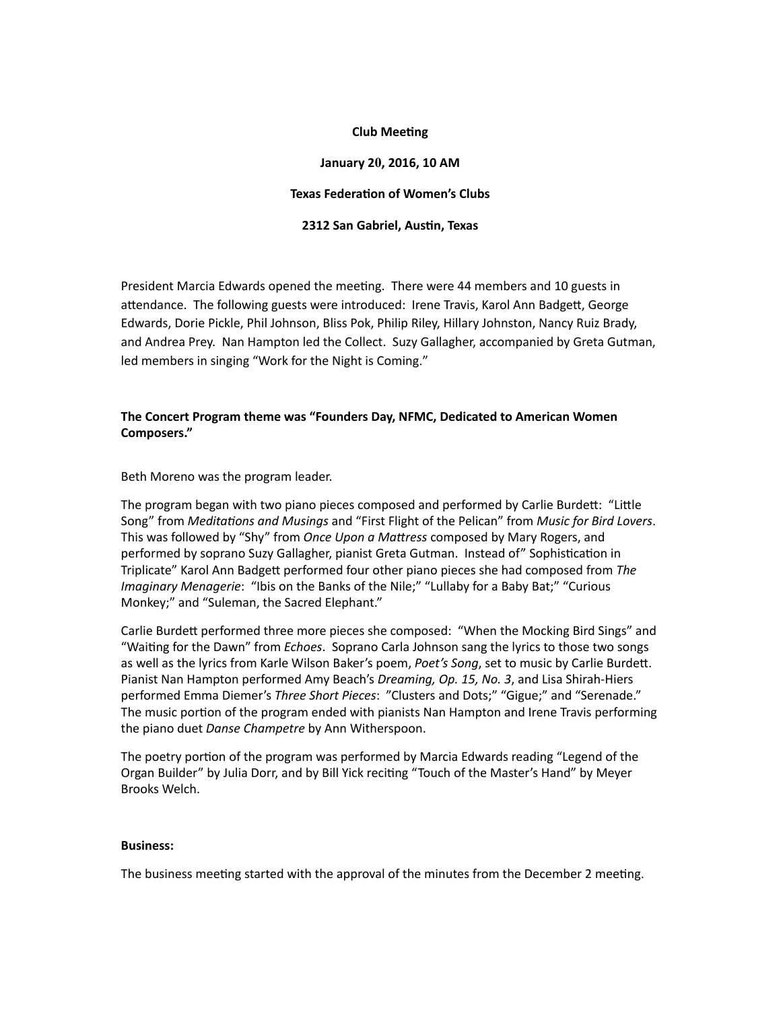### **Club Meeting**

## **January 20, 2016, 10 AM**

#### **Texas Federation of Women's Clubs**

### **2312 San Gabriel, Austin, Texas**

President Marcia Edwards opened the meeting. There were 44 members and 10 guests in attendance. The following guests were introduced: Irene Travis, Karol Ann Badgett, George Edwards, Dorie Pickle, Phil Johnson, Bliss Pok, Philip Riley, Hillary Johnston, Nancy Ruiz Brady, and Andrea Prey. Nan Hampton led the Collect. Suzy Gallagher, accompanied by Greta Gutman, led members in singing "Work for the Night is Coming."

## **The Concert Program theme was "Founders Day, NFMC, Dedicated to American Women Composers."**

Beth Moreno was the program leader.

The program began with two piano pieces composed and performed by Carlie Burdett: "Little Song" from *Meditations* and *Musings* and "First Flight of the Pelican" from *Music for Bird Lovers.* This was followed by "Shy" from *Once Upon a Mattress* composed by Mary Rogers, and performed by soprano Suzy Gallagher, pianist Greta Gutman. Instead of" Sophistication in Triplicate" Karol Ann Badgett performed four other piano pieces she had composed from The *Imaginary Menagerie*: "Ibis on the Banks of the Nile;" "Lullaby for a Baby Bat;" "Curious Monkey;" and "Suleman, the Sacred Elephant."

Carlie Burdett performed three more pieces she composed: "When the Mocking Bird Sings" and "Waiting for the Dawn" from *Echoes*. Soprano Carla Johnson sang the lyrics to those two songs as well as the lyrics from Karle Wilson Baker's poem, *Poet's Song*, set to music by Carlie Burdett. Pianist Nan Hampton performed Amy Beach's *Dreaming, Op. 15, No. 3*, and Lisa Shirah-Hiers performed Emma Diemer's Three Short Pieces: "Clusters and Dots;" "Gigue;" and "Serenade." The music portion of the program ended with pianists Nan Hampton and Irene Travis performing the piano duet *Danse Champetre* by Ann Witherspoon.

The poetry portion of the program was performed by Marcia Edwards reading "Legend of the Organ Builder" by Julia Dorr, and by Bill Yick reciting "Touch of the Master's Hand" by Meyer Brooks Welch.

#### **Business:**

The business meeting started with the approval of the minutes from the December 2 meeting.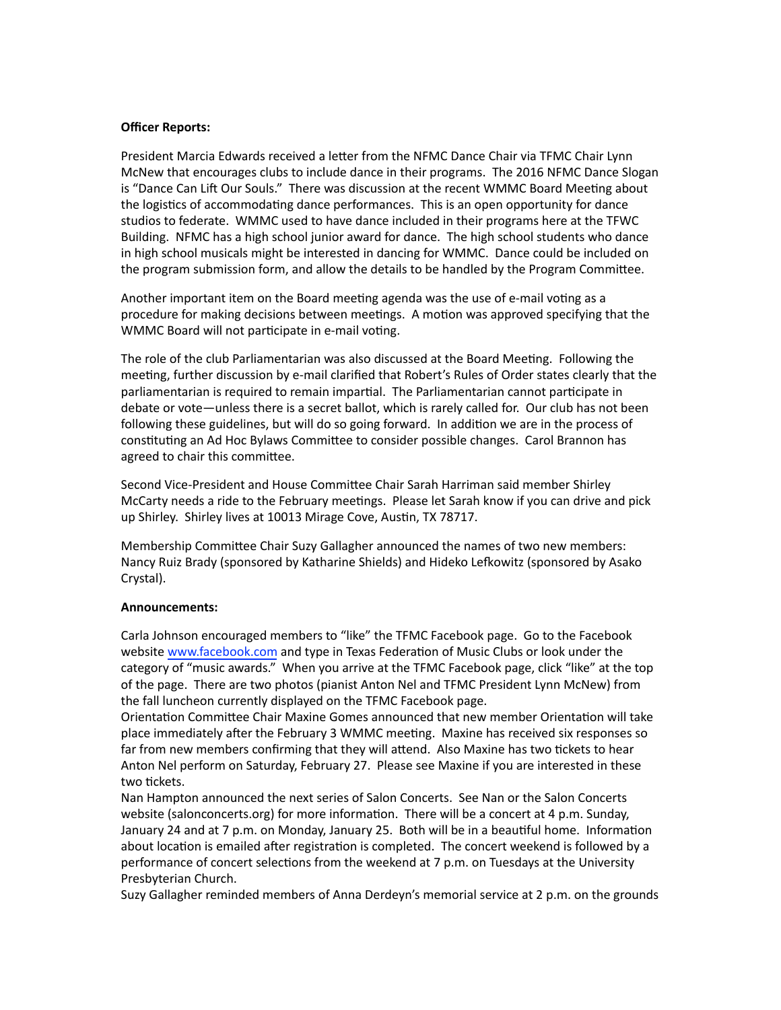### **Officer Reports:**

President Marcia Edwards received a letter from the NFMC Dance Chair via TFMC Chair Lynn McNew that encourages clubs to include dance in their programs. The 2016 NFMC Dance Slogan is "Dance Can Lift Our Souls." There was discussion at the recent WMMC Board Meeting about the logistics of accommodating dance performances. This is an open opportunity for dance studios to federate. WMMC used to have dance included in their programs here at the TFWC Building. NFMC has a high school junior award for dance. The high school students who dance in high school musicals might be interested in dancing for WMMC. Dance could be included on the program submission form, and allow the details to be handled by the Program Committee.

Another important item on the Board meeting agenda was the use of e-mail voting as a procedure for making decisions between meetings. A motion was approved specifying that the WMMC Board will not participate in e-mail voting.

The role of the club Parliamentarian was also discussed at the Board Meeting. Following the meeting, further discussion by e-mail clarified that Robert's Rules of Order states clearly that the parliamentarian is required to remain impartial. The Parliamentarian cannot participate in debate or vote—unless there is a secret ballot, which is rarely called for. Our club has not been following these guidelines, but will do so going forward. In addition we are in the process of constituting an Ad Hoc Bylaws Committee to consider possible changes. Carol Brannon has agreed to chair this committee.

Second Vice-President and House Committee Chair Sarah Harriman said member Shirley McCarty needs a ride to the February meetings. Please let Sarah know if you can drive and pick up Shirley. Shirley lives at 10013 Mirage Cove, Austin, TX 78717.

Membership Committee Chair Suzy Gallagher announced the names of two new members: Nancy Ruiz Brady (sponsored by Katharine Shields) and Hideko Lefkowitz (sponsored by Asako Crystal).

## **Announcements:**

Carla Johnson encouraged members to "like" the TFMC Facebook page. Go to the Facebook website www.facebook.com and type in Texas Federation of Music Clubs or look under the category of "music awards." When you arrive at the TFMC Facebook page, click "like" at the top of the page. There are two photos (pianist Anton Nel and TFMC President Lynn McNew) from the fall luncheon currently displayed on the TFMC Facebook page.

Orientation Committee Chair Maxine Gomes announced that new member Orientation will take place immediately after the February 3 WMMC meeting. Maxine has received six responses so far from new members confirming that they will attend. Also Maxine has two tickets to hear Anton Nel perform on Saturday, February 27. Please see Maxine if you are interested in these two tickets.

Nan Hampton announced the next series of Salon Concerts. See Nan or the Salon Concerts website (salonconcerts.org) for more information. There will be a concert at 4 p.m. Sunday, January 24 and at 7 p.m. on Monday, January 25. Both will be in a beautiful home. Information about location is emailed after registration is completed. The concert weekend is followed by a performance of concert selections from the weekend at  $7$  p.m. on Tuesdays at the University Presbyterian Church. 

Suzy Gallagher reminded members of Anna Derdeyn's memorial service at 2 p.m. on the grounds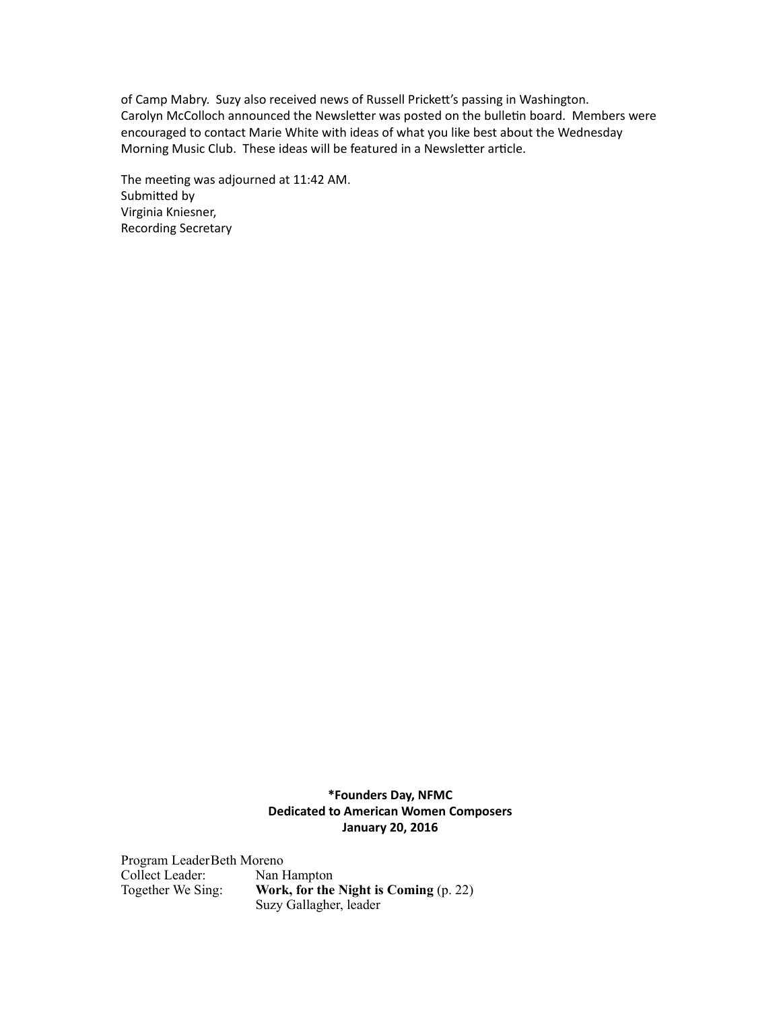of Camp Mabry. Suzy also received news of Russell Prickett's passing in Washington. Carolyn McColloch announced the Newsletter was posted on the bulletin board. Members were encouraged to contact Marie White with ideas of what you like best about the Wednesday Morning Music Club. These ideas will be featured in a Newsletter article.

The meeting was adjourned at 11:42 AM. Submitted by Virginia Kniesner, Recording Secretary

# **\*Founders Day, NFMC Dedicated to American Women Composers January 20, 2016**

Program LeaderBeth Moreno Collect Leader: Nan Hampton Together We Sing: **Work, for the Night is Coming** (p. 22) Suzy Gallagher, leader